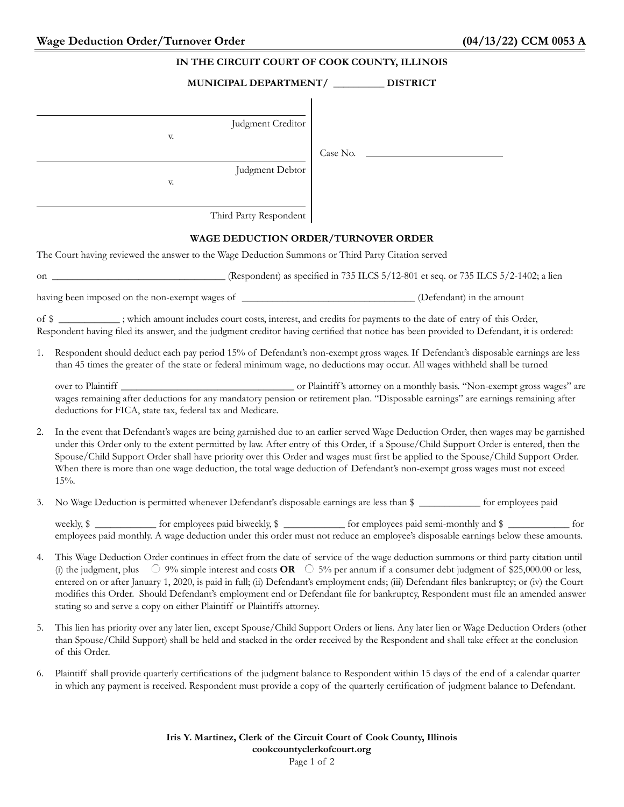| IN THE CIRCUIT COURT OF COOK COUNTY, ILLINOIS                                                                                                                                                                                                                              |                                                                                                                                                                                                                                                                                                                                                                                                                                                                                                                                                                                                                                                   |                    |  |  |
|----------------------------------------------------------------------------------------------------------------------------------------------------------------------------------------------------------------------------------------------------------------------------|---------------------------------------------------------------------------------------------------------------------------------------------------------------------------------------------------------------------------------------------------------------------------------------------------------------------------------------------------------------------------------------------------------------------------------------------------------------------------------------------------------------------------------------------------------------------------------------------------------------------------------------------------|--------------------|--|--|
|                                                                                                                                                                                                                                                                            | MUNICIPAL DEPARTMENT/ __________ DISTRICT                                                                                                                                                                                                                                                                                                                                                                                                                                                                                                                                                                                                         |                    |  |  |
|                                                                                                                                                                                                                                                                            | Judgment Creditor<br>V.                                                                                                                                                                                                                                                                                                                                                                                                                                                                                                                                                                                                                           |                    |  |  |
|                                                                                                                                                                                                                                                                            | Judgment Debtor<br>V.                                                                                                                                                                                                                                                                                                                                                                                                                                                                                                                                                                                                                             | Case No. ________  |  |  |
|                                                                                                                                                                                                                                                                            | Third Party Respondent                                                                                                                                                                                                                                                                                                                                                                                                                                                                                                                                                                                                                            |                    |  |  |
| <b>WAGE DEDUCTION ORDER/TURNOVER ORDER</b>                                                                                                                                                                                                                                 |                                                                                                                                                                                                                                                                                                                                                                                                                                                                                                                                                                                                                                                   |                    |  |  |
| The Court having reviewed the answer to the Wage Deduction Summons or Third Party Citation served                                                                                                                                                                          |                                                                                                                                                                                                                                                                                                                                                                                                                                                                                                                                                                                                                                                   |                    |  |  |
|                                                                                                                                                                                                                                                                            |                                                                                                                                                                                                                                                                                                                                                                                                                                                                                                                                                                                                                                                   |                    |  |  |
|                                                                                                                                                                                                                                                                            |                                                                                                                                                                                                                                                                                                                                                                                                                                                                                                                                                                                                                                                   |                    |  |  |
| of \$ ____________; which amount includes court costs, interest, and credits for payments to the date of entry of this Order,<br>Respondent having filed its answer, and the judgment creditor having certified that notice has been provided to Defendant, it is ordered: |                                                                                                                                                                                                                                                                                                                                                                                                                                                                                                                                                                                                                                                   |                    |  |  |
| 1.                                                                                                                                                                                                                                                                         | Respondent should deduct each pay period 15% of Defendant's non-exempt gross wages. If Defendant's disposable earnings are less<br>than 45 times the greater of the state or federal minimum wage, no deductions may occur. All wages withheld shall be turned                                                                                                                                                                                                                                                                                                                                                                                    |                    |  |  |
|                                                                                                                                                                                                                                                                            | wages remaining after deductions for any mandatory pension or retirement plan. "Disposable earnings" are earnings remaining after<br>deductions for FICA, state tax, federal tax and Medicare.                                                                                                                                                                                                                                                                                                                                                                                                                                                    |                    |  |  |
| 2.                                                                                                                                                                                                                                                                         | In the event that Defendant's wages are being garnished due to an earlier served Wage Deduction Order, then wages may be garnished<br>under this Order only to the extent permitted by law. After entry of this Order, if a Spouse/Child Support Order is entered, then the<br>Spouse/Child Support Order shall have priority over this Order and wages must first be applied to the Spouse/Child Support Order.<br>When there is more than one wage deduction, the total wage deduction of Defendant's non-exempt gross wages must not exceed<br>$15%$ .                                                                                         |                    |  |  |
|                                                                                                                                                                                                                                                                            | No Wage Deduction is permitted whenever Defendant's disposable earnings are less than \$                                                                                                                                                                                                                                                                                                                                                                                                                                                                                                                                                          | for employees paid |  |  |
|                                                                                                                                                                                                                                                                            | weekly, \$ _____________ for employees paid biweekly, \$ ___________ for employees paid semi-monthly and \$ ____________ for<br>employees paid monthly. A wage deduction under this order must not reduce an employee's disposable earnings below these amounts.                                                                                                                                                                                                                                                                                                                                                                                  |                    |  |  |
| 4.                                                                                                                                                                                                                                                                         | This Wage Deduction Order continues in effect from the date of service of the wage deduction summons or third party citation until<br>(i) the judgment, plus $\circ$ 9% simple interest and costs <b>OR</b> $\circ$ 5% per annum if a consumer debt judgment of \$25,000.00 or less,<br>entered on or after January 1, 2020, is paid in full; (ii) Defendant's employment ends; (iii) Defendant files bankruptcy; or (iv) the Court<br>modifies this Order. Should Defendant's employment end or Defendant file for bankruptcy, Respondent must file an amended answer<br>stating so and serve a copy on either Plaintiff or Plaintiffs attorney. |                    |  |  |
| 5.                                                                                                                                                                                                                                                                         | This lien has priority over any later lien, except Spouse/Child Support Orders or liens. Any later lien or Wage Deduction Orders (other<br>than Spouse/Child Support) shall be held and stacked in the order received by the Respondent and shall take effect at the conclusion<br>of this Order.                                                                                                                                                                                                                                                                                                                                                 |                    |  |  |
| 6.                                                                                                                                                                                                                                                                         | Plaintiff shall provide quarterly certifications of the judgment balance to Respondent within 15 days of the end of a calendar quarter<br>in which any payment is received. Respondent must provide a copy of the quarterly certification of judgment balance to Defendant.                                                                                                                                                                                                                                                                                                                                                                       |                    |  |  |

**Iris Y. Martinez, Clerk of the Circuit Court of Cook County, Illinois cookcountyclerkofcourt.org** Page 1 of 2